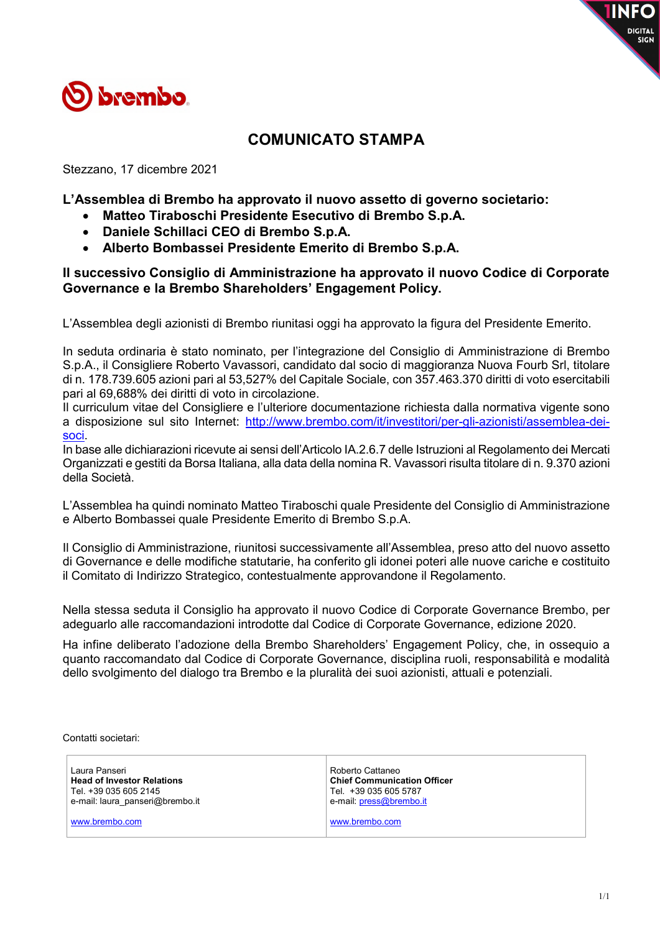

## **COMUNICATO STAMPA**

Stezzano, 17 dicembre 2021

**L'Assemblea di Brembo ha approvato il nuovo assetto di governo societario:** 

- **Matteo Tiraboschi Presidente Esecutivo di Brembo S.p.A.**
- **Daniele Schillaci CEO di Brembo S.p.A.**
- **Alberto Bombassei Presidente Emerito di Brembo S.p.A.**

## **Il successivo Consiglio di Amministrazione ha approvato il nuovo Codice di Corporate Governance e la Brembo Shareholders' Engagement Policy.**

L'Assemblea degli azionisti di Brembo riunitasi oggi ha approvato la figura del Presidente Emerito.

In seduta ordinaria è stato nominato, per l'integrazione del Consiglio di Amministrazione di Brembo S.p.A., il Consigliere Roberto Vavassori, candidato dal socio di maggioranza Nuova Fourb Srl, titolare di n. 178.739.605 azioni pari al 53,527% del Capitale Sociale, con 357.463.370 diritti di voto esercitabili pari al 69,688% dei diritti di voto in circolazione.

Il curriculum vitae del Consigliere e l'ulteriore documentazione richiesta dalla normativa vigente sono a disposizione sul sito Internet: http://www.brembo.com/it/investitori/per-gli-azionisti/assemblea-deisoci.

In base alle dichiarazioni ricevute ai sensi dell'Articolo IA.2.6.7 delle Istruzioni al Regolamento dei Mercati Organizzati e gestiti da Borsa Italiana, alla data della nomina R. Vavassori risulta titolare di n. 9.370 azioni della Società.

L'Assemblea ha quindi nominato Matteo Tiraboschi quale Presidente del Consiglio di Amministrazione e Alberto Bombassei quale Presidente Emerito di Brembo S.p.A.

Il Consiglio di Amministrazione, riunitosi successivamente all'Assemblea, preso atto del nuovo assetto di Governance e delle modifiche statutarie, ha conferito gli idonei poteri alle nuove cariche e costituito il Comitato di Indirizzo Strategico, contestualmente approvandone il Regolamento.

Nella stessa seduta il Consiglio ha approvato il nuovo Codice di Corporate Governance Brembo, per adeguarlo alle raccomandazioni introdotte dal Codice di Corporate Governance, edizione 2020.

Ha infine deliberato l'adozione della Brembo Shareholders' Engagement Policy, che, in ossequio a quanto raccomandato dal Codice di Corporate Governance, disciplina ruoli, responsabilità e modalità dello svolgimento del dialogo tra Brembo e la pluralità dei suoi azionisti, attuali e potenziali.

Contatti societari:

| Laura Panseri<br><b>Head of Investor Relations</b><br>Tel. +39 035 605 2145<br>e-mail: laura panseri@brembo.it | Roberto Cattaneo<br><b>Chief Communication Officer</b><br>Tel. +39 035 605 5787<br>e-mail: press@brembo.it |
|----------------------------------------------------------------------------------------------------------------|------------------------------------------------------------------------------------------------------------|
| www.brembo.com                                                                                                 | www.brembo.com                                                                                             |

**TINFO** 

DIGITAL